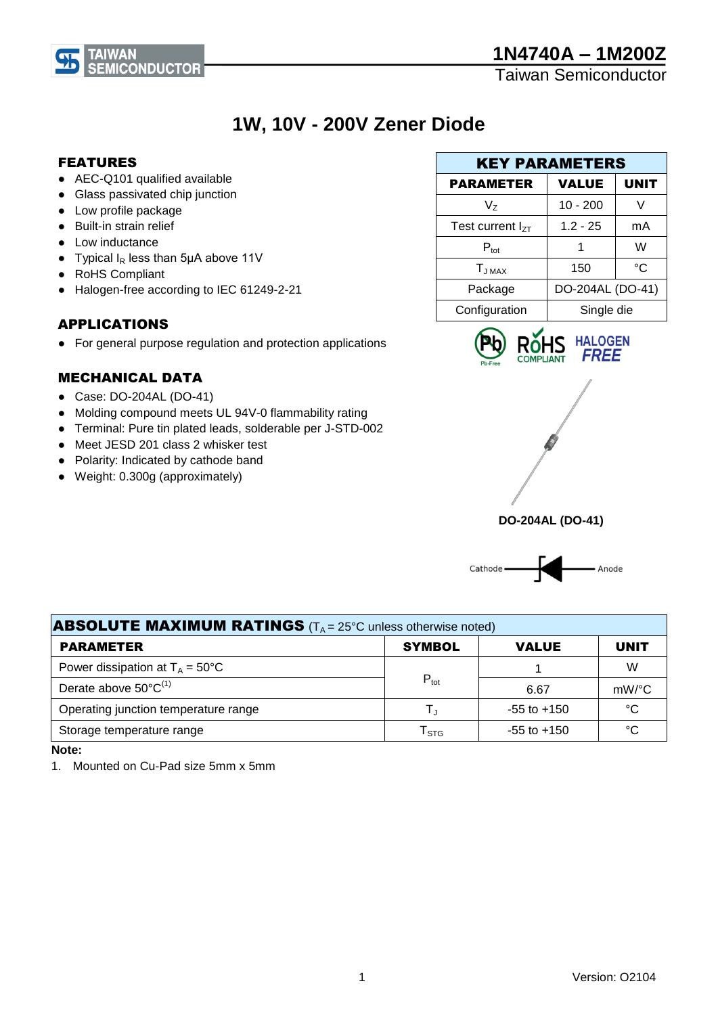# **1N4740A – 1M200Z**

Taiwan Semiconductor

# **1W, 10V - 200V Zener Diode**

### FEATURES

- AEC-Q101 qualified available
- Glass passivated chip junction
- Low profile package

**TAIWAN** 

- Built-in strain relief
- Low inductance
- Typical  $I_R$  less than 5µA above 11V
- RoHS Compliant
- Halogen-free according to IEC 61249-2-21

## APPLICATIONS

● For general purpose regulation and protection applications

### MECHANICAL DATA

- Case: DO-204AL (DO-41)
- Molding compound meets UL 94V-0 flammability rating
- Terminal: Pure tin plated leads, solderable per J-STD-002
- Meet JESD 201 class 2 whisker test
- Polarity: Indicated by cathode band
- Weight: 0.300g (approximately)

| <b>KEY PARAMETERS</b> |                  |             |  |
|-----------------------|------------------|-------------|--|
| <b>PARAMETER</b>      | VALUE            | <b>UNIT</b> |  |
| V,                    | $10 - 200$       |             |  |
| Test current $I_{7T}$ | $1.2 - 25$       | mA          |  |
| $P_{\text{tot}}$      |                  | W           |  |
| $T_{JMAX}$            | 150              | °C          |  |
| Package               | DO-204AL (DO-41) |             |  |
| Configuration         | Single die       |             |  |







| <b>ABSOLUTE MAXIMUM RATINGS</b> ( $T_A = 25^\circ$ C unless otherwise noted) |                             |                 |             |  |  |
|------------------------------------------------------------------------------|-----------------------------|-----------------|-------------|--|--|
| <b>PARAMETER</b>                                                             | <b>SYMBOL</b>               | <b>VALUE</b>    | <b>UNIT</b> |  |  |
| Power dissipation at $T_A = 50^{\circ}C$                                     |                             |                 | W           |  |  |
| Derate above $50^{\circ}C^{(1)}$                                             | $P_{\text{tot}}$            | 6.67            | mW/°C       |  |  |
| Operating junction temperature range                                         | T.                          | $-55$ to $+150$ | °C          |  |  |
| Storage temperature range                                                    | $\mathsf{T}_{\texttt{STG}}$ | $-55$ to $+150$ | °C          |  |  |

**Note:**

1. Mounted on Cu-Pad size 5mm x 5mm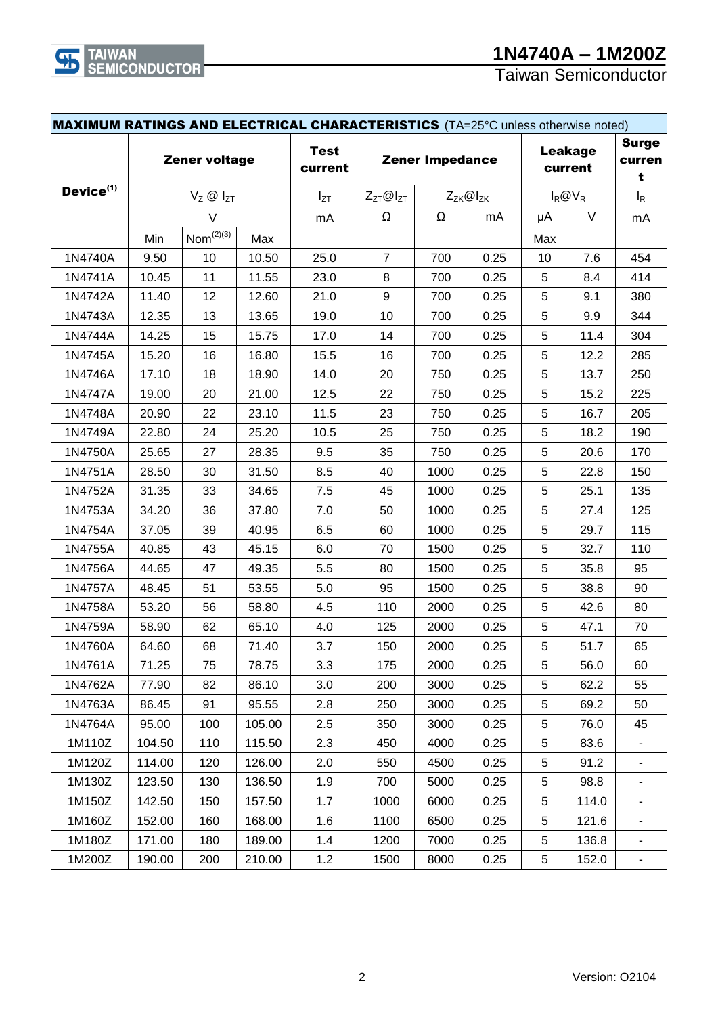Taiwan Semiconductor

| <b>MAXIMUM RATINGS AND ELECTRICAL CHARACTERISTICS</b> (TA=25°C unless otherwise noted) |                                               |                         |                        |                                            |                           |            |                             |       |        |     |
|----------------------------------------------------------------------------------------|-----------------------------------------------|-------------------------|------------------------|--------------------------------------------|---------------------------|------------|-----------------------------|-------|--------|-----|
| Zener voltage                                                                          |                                               | <b>Test</b><br>current  | <b>Zener Impedance</b> |                                            | <b>Leakage</b><br>current |            | <b>Surge</b><br>curren<br>t |       |        |     |
|                                                                                        | Device <sup>(1)</sup><br>$V_Z \otimes I_{ZT}$ |                         | $I_{ZT}$               | $Z_{ZT}$ @ $I_{ZT}$<br>$Z_{ZK}$ @ $I_{ZK}$ |                           | $I_R @V_R$ |                             | $I_R$ |        |     |
|                                                                                        |                                               | $\vee$                  |                        | mA                                         | Ω                         | Ω          | mA                          | μA    | $\vee$ | mA  |
|                                                                                        | Min                                           | $\mathsf{Nom}^{(2)(3)}$ | Max                    |                                            |                           |            |                             | Max   |        |     |
| 1N4740A                                                                                | 9.50                                          | 10                      | 10.50                  | 25.0                                       | $\overline{7}$            | 700        | 0.25                        | 10    | 7.6    | 454 |
| 1N4741A                                                                                | 10.45                                         | 11                      | 11.55                  | 23.0                                       | 8                         | 700        | 0.25                        | 5     | 8.4    | 414 |
| 1N4742A                                                                                | 11.40                                         | 12                      | 12.60                  | 21.0                                       | $\boldsymbol{9}$          | 700        | 0.25                        | 5     | 9.1    | 380 |
| 1N4743A                                                                                | 12.35                                         | 13                      | 13.65                  | 19.0                                       | 10                        | 700        | 0.25                        | 5     | 9.9    | 344 |
| 1N4744A                                                                                | 14.25                                         | 15                      | 15.75                  | 17.0                                       | 14                        | 700        | 0.25                        | 5     | 11.4   | 304 |
| 1N4745A                                                                                | 15.20                                         | 16                      | 16.80                  | 15.5                                       | 16                        | 700        | 0.25                        | 5     | 12.2   | 285 |
| 1N4746A                                                                                | 17.10                                         | 18                      | 18.90                  | 14.0                                       | 20                        | 750        | 0.25                        | 5     | 13.7   | 250 |
| 1N4747A                                                                                | 19.00                                         | 20                      | 21.00                  | 12.5                                       | 22                        | 750        | 0.25                        | 5     | 15.2   | 225 |
| 1N4748A                                                                                | 20.90                                         | 22                      | 23.10                  | 11.5                                       | 23                        | 750        | 0.25                        | 5     | 16.7   | 205 |
| 1N4749A                                                                                | 22.80                                         | 24                      | 25.20                  | 10.5                                       | 25                        | 750        | 0.25                        | 5     | 18.2   | 190 |
| 1N4750A                                                                                | 25.65                                         | 27                      | 28.35                  | 9.5                                        | 35                        | 750        | 0.25                        | 5     | 20.6   | 170 |
| 1N4751A                                                                                | 28.50                                         | 30                      | 31.50                  | 8.5                                        | 40                        | 1000       | 0.25                        | 5     | 22.8   | 150 |
| 1N4752A                                                                                | 31.35                                         | 33                      | 34.65                  | 7.5                                        | 45                        | 1000       | 0.25                        | 5     | 25.1   | 135 |
| 1N4753A                                                                                | 34.20                                         | 36                      | 37.80                  | 7.0                                        | 50                        | 1000       | 0.25                        | 5     | 27.4   | 125 |
| 1N4754A                                                                                | 37.05                                         | 39                      | 40.95                  | 6.5                                        | 60                        | 1000       | 0.25                        | 5     | 29.7   | 115 |
| 1N4755A                                                                                | 40.85                                         | 43                      | 45.15                  | 6.0                                        | 70                        | 1500       | 0.25                        | 5     | 32.7   | 110 |
| 1N4756A                                                                                | 44.65                                         | 47                      | 49.35                  | 5.5                                        | 80                        | 1500       | 0.25                        | 5     | 35.8   | 95  |
| 1N4757A                                                                                | 48.45                                         | 51                      | 53.55                  | 5.0                                        | 95                        | 1500       | 0.25                        | 5     | 38.8   | 90  |
| 1N4758A                                                                                | 53.20                                         | 56                      | 58.80                  | 4.5                                        | 110                       | 2000       | 0.25                        | 5     | 42.6   | 80  |
| 1N4759A                                                                                | 58.90                                         | 62                      | 65.10                  | 4.0                                        | 125                       | 2000       | 0.25                        | 5     | 47.1   | 70  |
| 1N4760A                                                                                | 64.60                                         | 68                      | 71.40                  | 3.7                                        | 150                       | 2000       | 0.25                        | 5     | 51.7   | 65  |
| 1N4761A                                                                                | 71.25                                         | 75                      | 78.75                  | 3.3                                        | 175                       | 2000       | 0.25                        | 5     | 56.0   | 60  |
| 1N4762A                                                                                | 77.90                                         | 82                      | 86.10                  | 3.0                                        | 200                       | 3000       | 0.25                        | 5     | 62.2   | 55  |
| 1N4763A                                                                                | 86.45                                         | 91                      | 95.55                  | 2.8                                        | 250                       | 3000       | 0.25                        | 5     | 69.2   | 50  |
| 1N4764A                                                                                | 95.00                                         | 100                     | 105.00                 | 2.5                                        | 350                       | 3000       | 0.25                        | 5     | 76.0   | 45  |
| 1M110Z                                                                                 | 104.50                                        | 110                     | 115.50                 | 2.3                                        | 450                       | 4000       | 0.25                        | 5     | 83.6   |     |
| 1M120Z                                                                                 | 114.00                                        | 120                     | 126.00                 | 2.0                                        | 550                       | 4500       | 0.25                        | 5     | 91.2   |     |
| 1M130Z                                                                                 | 123.50                                        | 130                     | 136.50                 | 1.9                                        | 700                       | 5000       | 0.25                        | 5     | 98.8   |     |
| 1M150Z                                                                                 | 142.50                                        | 150                     | 157.50                 | 1.7                                        | 1000                      | 6000       | 0.25                        | 5     | 114.0  |     |
| 1M160Z                                                                                 | 152.00                                        | 160                     | 168.00                 | 1.6                                        | 1100                      | 6500       | 0.25                        | 5     | 121.6  |     |
| 1M180Z                                                                                 | 171.00                                        | 180                     | 189.00                 | 1.4                                        | 1200                      | 7000       | 0.25                        | 5     | 136.8  |     |
| 1M200Z                                                                                 | 190.00                                        | 200                     | 210.00                 | $1.2$                                      | 1500                      | 8000       | 0.25                        | 5     | 152.0  | ۰   |

 $\mathbf{F}$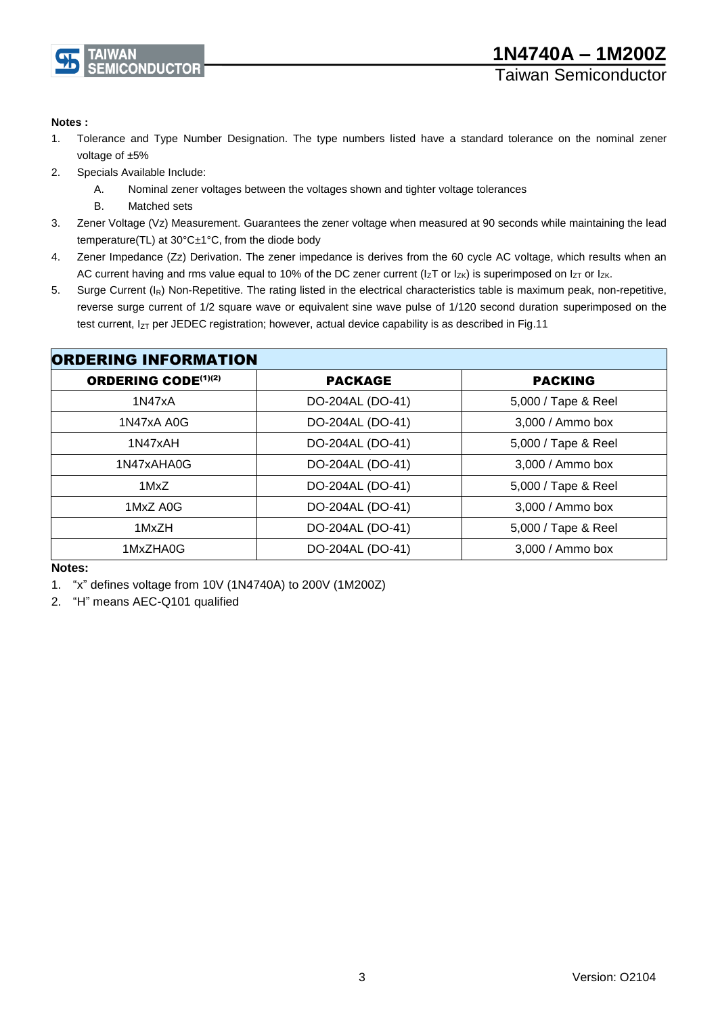

#### **Notes :**

- 1. Tolerance and Type Number Designation. The type numbers listed have a standard tolerance on the nominal zener voltage of ±5%
- 2. Specials Available Include:
	- A. Nominal zener voltages between the voltages shown and tighter voltage tolerances
	- B. Matched sets
- 3. Zener Voltage (Vz) Measurement. Guarantees the zener voltage when measured at 90 seconds while maintaining the lead temperature(TL) at 30°C±1°C, from the diode body
- 4. Zener Impedance (Zz) Derivation. The zener impedance is derives from the 60 cycle AC voltage, which results when an AC current having and rms value equal to 10% of the DC zener current ( $I_zT$  or  $I_{ZK}$ ) is superimposed on  $I_{ZT}$  or  $I_{ZK}$ .
- 5. Surge Current (I<sub>R</sub>) Non-Repetitive. The rating listed in the electrical characteristics table is maximum peak, non-repetitive, reverse surge current of 1/2 square wave or equivalent sine wave pulse of 1/120 second duration superimposed on the test current,  $I_{ZT}$  per JEDEC registration; however, actual device capability is as described in Fig.11

| <b>ORDERING INFORMATION</b> |                  |                     |  |  |
|-----------------------------|------------------|---------------------|--|--|
| <b>ORDERING CODE(1)(2)</b>  | <b>PACKAGE</b>   | <b>PACKING</b>      |  |  |
| 1N47xA                      | DO-204AL (DO-41) | 5,000 / Tape & Reel |  |  |
| 1N47xA A0G                  | DO-204AL (DO-41) | 3,000 / Ammo box    |  |  |
| 1N47xAH                     | DO-204AL (DO-41) | 5,000 / Tape & Reel |  |  |
| 1N47xAHA0G                  | DO-204AL (DO-41) | 3,000 / Ammo box    |  |  |
| 1MxZ                        | DO-204AL (DO-41) | 5,000 / Tape & Reel |  |  |
| 1MxZ A0G                    | DO-204AL (DO-41) | 3,000 / Ammo box    |  |  |
| 1MxZH                       | DO-204AL (DO-41) | 5,000 / Tape & Reel |  |  |
| 1MxZHA0G                    | DO-204AL (DO-41) | 3,000 / Ammo box    |  |  |

#### **Notes:**

1. "x" defines voltage from 10V (1N4740A) to 200V (1M200Z)

2. "H" means AEC-Q101 qualified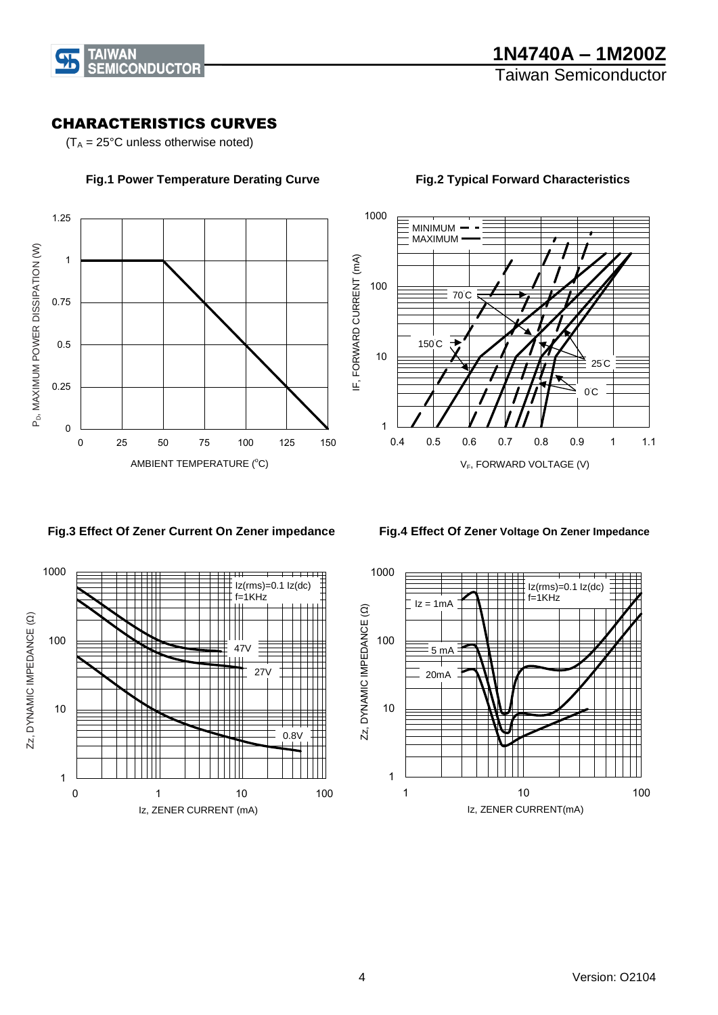

# CHARACTERISTICS CURVES

 $(T_A = 25^{\circ}C$  unless otherwise noted)



#### **Fig.1 Power Temperature Derating Curve**



#### **Fig.2 Typical Forward Characteristics**

#### **Fig.3 Effect Of Zener Current On Zener impedance**

 **Fig.4 Effect Of Zener Voltage On Zener Impedance** 



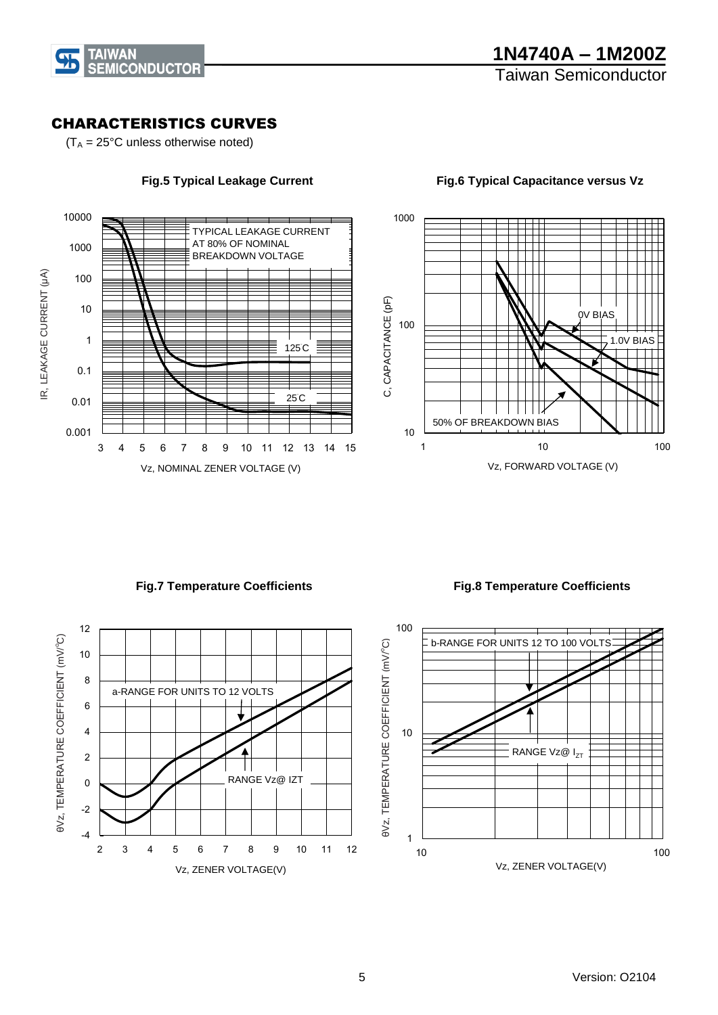

# CHARACTERISTICS CURVES

 $(T_A = 25^{\circ}C$  unless otherwise noted)



**Fig.5 Typical Leakage Current**

1000 C, CAPACITANCE (pF) C, CAPACITANCE (pF) 0V BIAS 100 1.0V BIAS 50% OF BREAKDOWN BIAS 10 1 10 100 Vz, FORWARD VOLTAGE (V)

**Fig.6 Typical Capacitance versus Vz**

**Fig.7 Temperature Coefficients**

 **Fig.8 Temperature Coefficients** 

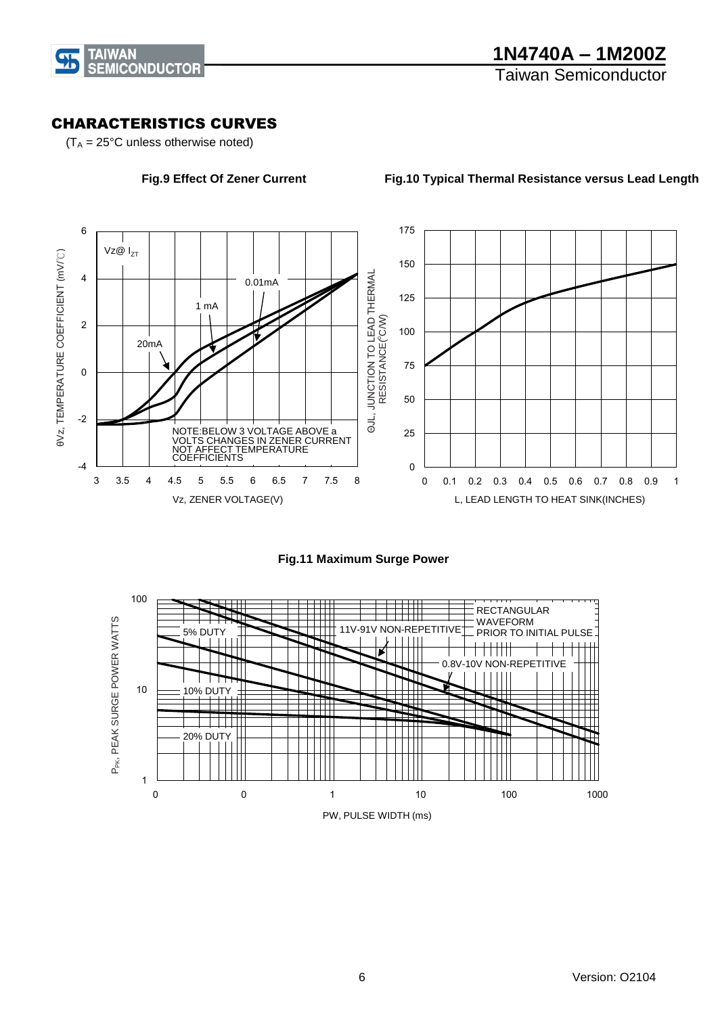

### CHARACTERISTICS CURVES

 $(T_A = 25^{\circ}C$  unless otherwise noted)

**Fig.9 Effect Of Zener Current**

**Fig.10 Typical Thermal Resistance versus Lead Length**





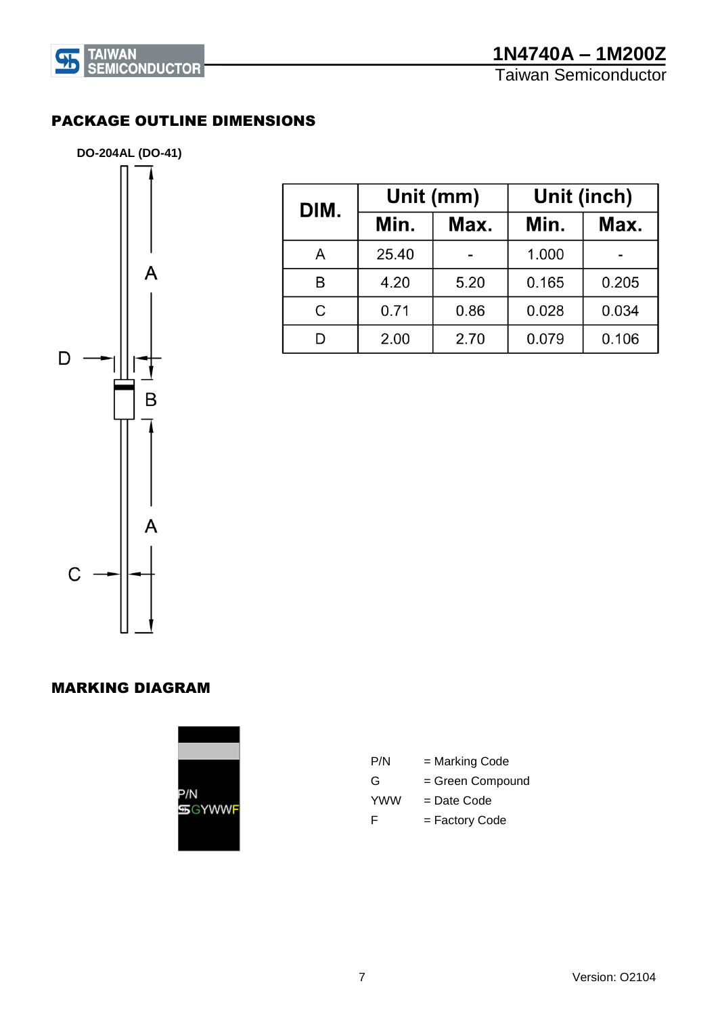

PACKAGE OUTLINE DIMENSIONS



| DIM. | Unit (mm)    |      | Unit (inch) |       |  |
|------|--------------|------|-------------|-------|--|
|      | Min.<br>Max. |      | Min.        | Max.  |  |
| А    | 25.40        |      | 1.000       |       |  |
| B    | 4.20         | 5.20 | 0.165       | 0.205 |  |
| C    | 0.71         | 0.86 | 0.028       | 0.034 |  |
|      | 2.00         | 2.70 | 0.079       | 0.106 |  |

#### MARKING DIAGRAM



| P/N        | = Marking Code   |
|------------|------------------|
| G          | = Green Compound |
| <b>YWW</b> | = Date Code      |
| F          | = Factory Code   |
|            |                  |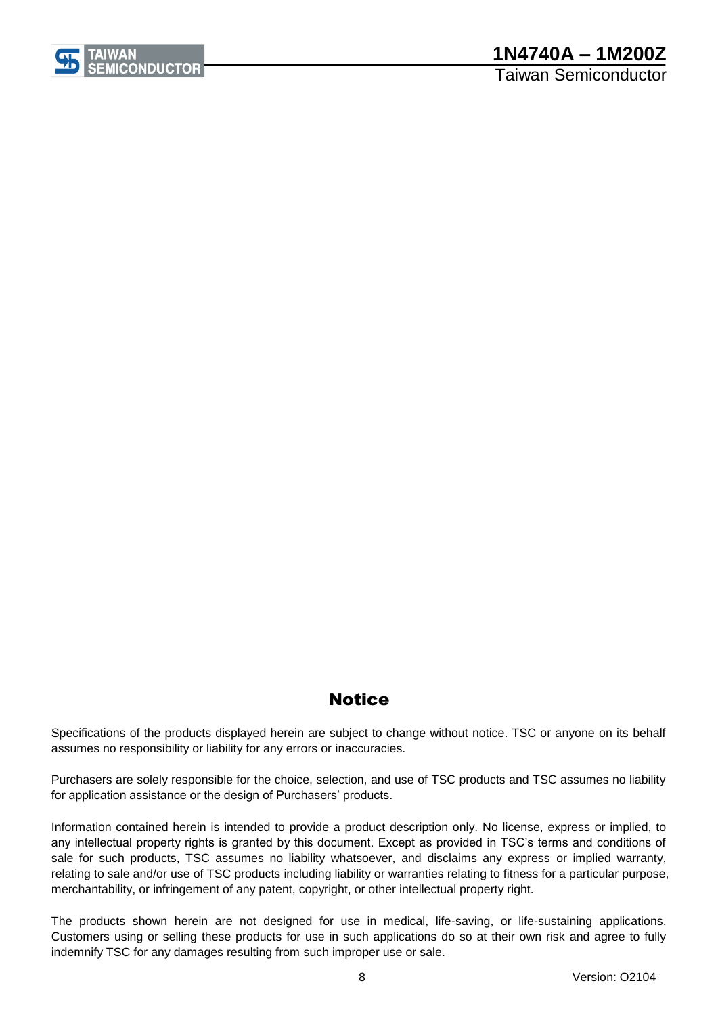

Taiwan Semiconductor

# **Notice**

Specifications of the products displayed herein are subject to change without notice. TSC or anyone on its behalf assumes no responsibility or liability for any errors or inaccuracies.

Purchasers are solely responsible for the choice, selection, and use of TSC products and TSC assumes no liability for application assistance or the design of Purchasers' products.

Information contained herein is intended to provide a product description only. No license, express or implied, to any intellectual property rights is granted by this document. Except as provided in TSC's terms and conditions of sale for such products, TSC assumes no liability whatsoever, and disclaims any express or implied warranty, relating to sale and/or use of TSC products including liability or warranties relating to fitness for a particular purpose, merchantability, or infringement of any patent, copyright, or other intellectual property right.

The products shown herein are not designed for use in medical, life-saving, or life-sustaining applications. Customers using or selling these products for use in such applications do so at their own risk and agree to fully indemnify TSC for any damages resulting from such improper use or sale.